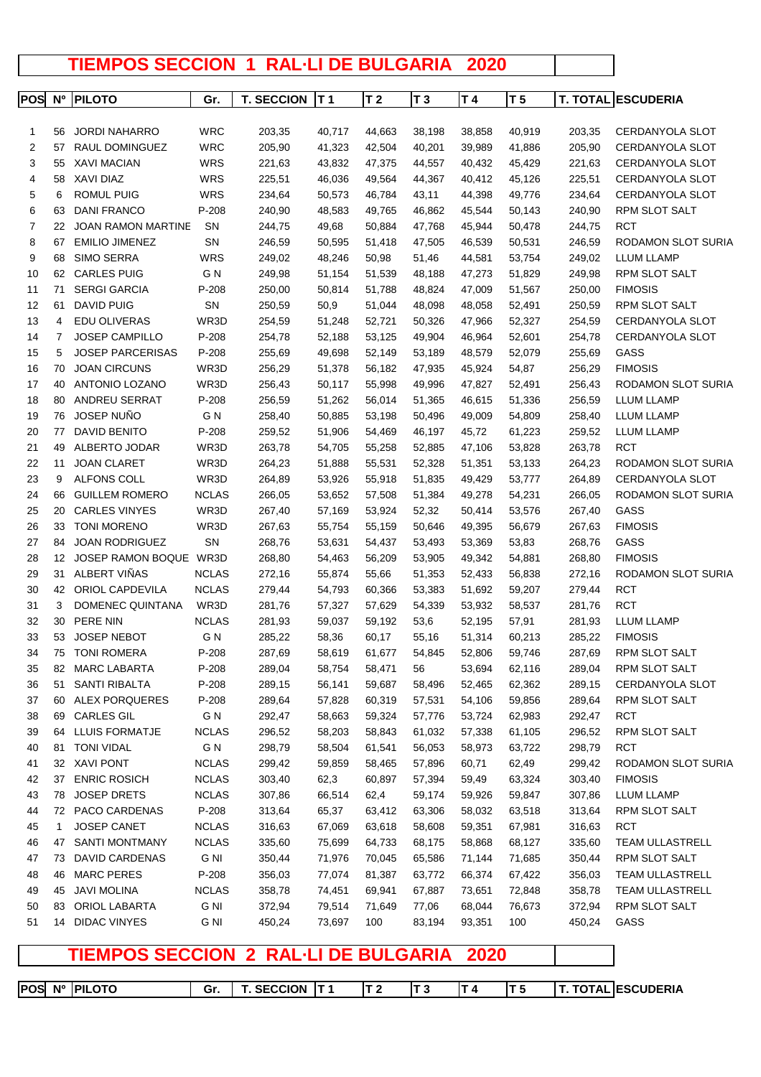## **TIEMPOS SECCION 1 RAL·LI DE BULGARIA 2020**

| POS | N <sup>o</sup> | <b>PILOTO</b>             | Gr.          | <b>T. SECCION</b> | T <sub>1</sub> | T <sub>2</sub> | T <sub>3</sub> | T 4    | T <sub>5</sub> |        | <b>T. TOTAL ESCUDERIA</b> |
|-----|----------------|---------------------------|--------------|-------------------|----------------|----------------|----------------|--------|----------------|--------|---------------------------|
|     |                |                           |              |                   |                |                |                |        |                |        |                           |
| 1   | 56             | <b>JORDI NAHARRO</b>      | WRC          | 203,35            | 40,717         | 44,663         | 38,198         | 38,858 | 40,919         | 203,35 | <b>CERDANYOLA SLOT</b>    |
| 2   | 57             | RAUL DOMINGUEZ            | <b>WRC</b>   | 205,90            | 41,323         | 42,504         | 40,201         | 39,989 | 41,886         | 205,90 | CERDANYOLA SLOT           |
| 3   | 55             | XAVI MACIAN               | <b>WRS</b>   | 221,63            | 43,832         | 47,375         | 44,557         | 40,432 | 45,429         | 221,63 | CERDANYOLA SLOT           |
| 4   | 58             | XAVI DIAZ                 | <b>WRS</b>   | 225,51            | 46,036         | 49,564         | 44,367         | 40,412 | 45,126         | 225,51 | CERDANYOLA SLOT           |
| 5   | 6              | <b>ROMUL PUIG</b>         | <b>WRS</b>   | 234,64            | 50,573         | 46,784         | 43,11          | 44,398 | 49,776         | 234,64 | CERDANYOLA SLOT           |
| 6   | 63             | <b>DANI FRANCO</b>        | $P-208$      | 240,90            | 48,583         | 49,765         | 46,862         | 45,544 | 50,143         | 240,90 | RPM SLOT SALT             |
| 7   | 22             | <b>JOAN RAMON MARTINE</b> | <b>SN</b>    | 244,75            | 49,68          | 50,884         | 47,768         | 45,944 | 50,478         | 244,75 | <b>RCT</b>                |
| 8   | 67             | <b>EMILIO JIMENEZ</b>     | SN           | 246,59            | 50,595         | 51,418         | 47,505         | 46,539 | 50,531         | 246,59 | <b>RODAMON SLOT SURIA</b> |
| 9   | 68             | SIMO SERRA                | <b>WRS</b>   | 249,02            | 48,246         | 50,98          | 51,46          | 44,581 | 53,754         | 249,02 | LLUM LLAMP                |
| 10  | 62             | CARLES PUIG               | G N          | 249,98            | 51,154         | 51,539         | 48,188         | 47,273 | 51,829         | 249,98 | <b>RPM SLOT SALT</b>      |
| 11  | 71             | <b>SERGI GARCIA</b>       | $P-208$      | 250,00            | 50,814         | 51,788         | 48,824         | 47,009 | 51,567         | 250,00 | <b>FIMOSIS</b>            |
| 12  | 61             | <b>DAVID PUIG</b>         | SN           | 250,59            | 50,9           | 51,044         | 48,098         | 48,058 | 52,491         | 250,59 | RPM SLOT SALT             |
| 13  | 4              | EDU OLIVERAS              | WR3D         | 254,59            | 51,248         | 52,721         | 50,326         | 47,966 | 52,327         | 254,59 | CERDANYOLA SLOT           |
| 14  | 7              | <b>JOSEP CAMPILLO</b>     | $P-208$      | 254,78            | 52,188         | 53,125         | 49,904         | 46,964 | 52,601         | 254,78 | CERDANYOLA SLOT           |
| 15  | 5              | <b>JOSEP PARCERISAS</b>   | $P-208$      | 255,69            | 49,698         | 52,149         | 53,189         | 48,579 | 52,079         | 255,69 | GASS                      |
| 16  | 70             | <b>JOAN CIRCUNS</b>       | WR3D         | 256,29            | 51,378         | 56,182         | 47,935         | 45,924 | 54,87          | 256,29 | <b>FIMOSIS</b>            |
| 17  | 40             | ANTONIO LOZANO            | WR3D         | 256,43            | 50,117         | 55,998         | 49,996         | 47,827 | 52,491         | 256,43 | RODAMON SLOT SURIA        |
| 18  | 80             | ANDREU SERRAT             | $P-208$      | 256,59            | 51,262         | 56,014         | 51,365         | 46,615 | 51,336         | 256,59 | <b>LLUM LLAMP</b>         |
| 19  | 76             | JOSEP NUÑO                | G N          | 258,40            | 50,885         | 53,198         | 50,496         | 49,009 | 54,809         | 258,40 | <b>LLUM LLAMP</b>         |
| 20  | 77             | <b>DAVID BENITO</b>       | $P-208$      | 259,52            | 51,906         | 54,469         | 46,197         | 45,72  | 61,223         | 259,52 | <b>LLUM LLAMP</b>         |
| 21  | 49             | ALBERTO JODAR             | WR3D         | 263,78            | 54,705         | 55,258         | 52,885         | 47,106 | 53,828         | 263,78 | <b>RCT</b>                |
| 22  | 11             | <b>JOAN CLARET</b>        | WR3D         | 264,23            | 51,888         | 55,531         | 52,328         | 51,351 | 53,133         | 264,23 | RODAMON SLOT SURIA        |
| 23  | 9              | ALFONS COLL               | WR3D         | 264,89            | 53,926         | 55,918         | 51,835         | 49,429 | 53,777         | 264,89 | CERDANYOLA SLOT           |
| 24  | 66             | <b>GUILLEM ROMERO</b>     | <b>NCLAS</b> | 266,05            | 53,652         | 57,508         | 51,384         | 49,278 | 54,231         | 266,05 | RODAMON SLOT SURIA        |
| 25  | 20             | <b>CARLES VINYES</b>      | WR3D         | 267,40            | 57,169         | 53,924         | 52,32          | 50,414 | 53,576         | 267,40 | GASS                      |
| 26  | 33             | <b>TONI MORENO</b>        | WR3D         | 267,63            | 55,754         | 55,159         | 50,646         | 49,395 | 56,679         | 267,63 | <b>FIMOSIS</b>            |
| 27  | 84             | <b>JOAN RODRIGUEZ</b>     | SΝ           | 268,76            | 53,631         | 54,437         | 53,493         | 53,369 | 53,83          | 268,76 | GASS                      |
| 28  | 12             | JOSEP RAMON BOQUE WR3D    |              | 268,80            | 54,463         | 56,209         | 53,905         | 49,342 | 54,881         | 268,80 | <b>FIMOSIS</b>            |
| 29  | 31             | ALBERT VIÑAS              | <b>NCLAS</b> | 272,16            | 55,874         | 55,66          | 51,353         | 52,433 | 56,838         | 272,16 | RODAMON SLOT SURIA        |
| 30  | 42             | <b>ORIOL CAPDEVILA</b>    | <b>NCLAS</b> | 279,44            | 54,793         | 60,366         | 53,383         | 51,692 | 59,207         | 279,44 | <b>RCT</b>                |
| 31  | 3              | DOMENEC QUINTANA          | WR3D         | 281,76            | 57,327         | 57,629         | 54,339         | 53,932 | 58,537         | 281,76 | <b>RCT</b>                |
| 32  | 30             | PERE NIN                  | <b>NCLAS</b> | 281,93            | 59,037         | 59,192         | 53,6           | 52,195 | 57,91          | 281,93 | <b>LLUM LLAMP</b>         |
| 33  | 53             | <b>JOSEP NEBOT</b>        | G N          | 285,22            | 58,36          | 60,17          | 55,16          | 51,314 | 60,213         | 285,22 | <b>FIMOSIS</b>            |
| 34  | 75             | <b>TONI ROMERA</b>        | $P-208$      | 287,69            | 58,619         | 61,677         | 54,845         | 52,806 | 59,746         | 287,69 | <b>RPM SLOT SALT</b>      |
| 35  |                | 82 MARC LABARTA           | P-208        | 289,04            | 58,754         | 58,471         | 56             | 53,694 | 62,116         | 289,04 | RPM SLOT SALT             |
| 36  |                | 51 SANTI RIBALTA          | P-208        | 289,15            | 56,141         | 59,687         | 58,496         | 52,465 | 62,362         | 289,15 | CERDANYOLA SLOT           |
| 37  |                | 60 ALEX PORQUERES         | P-208        | 289,64            | 57,828         | 60,319         | 57,531         | 54,106 | 59,856         | 289,64 | RPM SLOT SALT             |
| 38  | 69             | <b>CARLES GIL</b>         | G N          | 292,47            | 58,663         | 59,324         | 57,776         | 53,724 | 62,983         | 292,47 | <b>RCT</b>                |
| 39  | 64             | <b>LLUIS FORMATJE</b>     | <b>NCLAS</b> | 296,52            | 58,203         | 58,843         | 61,032         | 57,338 | 61,105         | 296,52 | RPM SLOT SALT             |
| 40  |                | 81 TONI VIDAL             | G N          | 298,79            | 58,504         | 61,541         | 56,053         | 58,973 | 63,722         | 298,79 | <b>RCT</b>                |
| 41  |                | 32 XAVI PONT              | <b>NCLAS</b> | 299,42            | 59,859         | 58,465         | 57,896         | 60,71  | 62,49          | 299,42 | RODAMON SLOT SURIA        |
| 42  | 37             | <b>ENRIC ROSICH</b>       | <b>NCLAS</b> | 303,40            | 62,3           | 60,897         | 57,394         | 59,49  | 63,324         | 303,40 | <b>FIMOSIS</b>            |
| 43  | 78             | <b>JOSEP DRETS</b>        | <b>NCLAS</b> | 307,86            | 66,514         | 62,4           | 59,174         | 59,926 | 59,847         | 307,86 | <b>LLUM LLAMP</b>         |
| 44  |                | 72 PACO CARDENAS          | P-208        | 313,64            | 65,37          | 63,412         | 63,306         | 58,032 | 63,518         | 313,64 | RPM SLOT SALT             |
| 45  | 1              | <b>JOSEP CANET</b>        | <b>NCLAS</b> | 316,63            | 67,069         | 63,618         | 58,608         | 59,351 | 67,981         | 316,63 | <b>RCT</b>                |
| 46  | 47             | <b>SANTI MONTMANY</b>     | <b>NCLAS</b> | 335,60            | 75,699         | 64,733         | 68,175         | 58,868 | 68,127         | 335,60 | TEAM ULLASTRELL           |
| 47  | 73             | DAVID CARDENAS            | G NI         | 350,44            | 71,976         | 70,045         | 65,586         | 71,144 | 71,685         | 350,44 | RPM SLOT SALT             |
| 48  | 46             | <b>MARC PERES</b>         | P-208        | 356,03            | 77,074         | 81,387         | 63,772         | 66,374 | 67,422         | 356,03 | TEAM ULLASTRELL           |
| 49  | 45             | <b>JAVI MOLINA</b>        | <b>NCLAS</b> | 358,78            | 74,451         | 69,941         | 67,887         | 73,651 | 72,848         | 358,78 | TEAM ULLASTRELL           |
| 50  | 83             | ORIOL LABARTA             | G NI         | 372,94            | 79,514         | 71,649         | 77,06          | 68,044 | 76,673         | 372,94 | RPM SLOT SALT             |
| 51  | 14             | <b>DIDAC VINYES</b>       | G NI         | 450,24            | 73,697         | 100            | 83,194         | 93,351 | 100            | 450,24 | GASS                      |
|     |                |                           |              |                   |                |                |                |        |                |        |                           |

**TIEMPOS SECCION 2 RAL·LI DE BULGARIA 2020**

|  | POS Nº PILOTO | Gr. | <b>I</b> T. SECCION IT 1 |  |  |  | <b>T. TOTAL ESCUDERIA</b> |
|--|---------------|-----|--------------------------|--|--|--|---------------------------|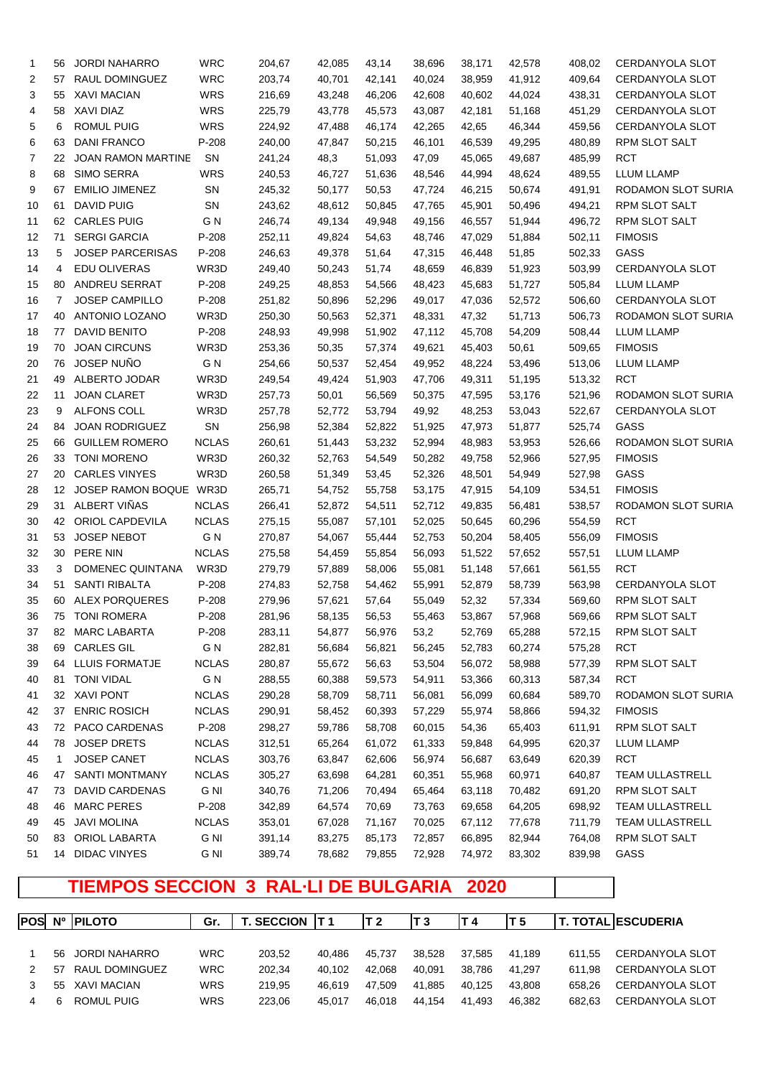| 1  | 56 | <b>JORDI NAHARRO</b>    | <b>WRC</b>                   | 204,67 | 42,085           | 43,14            | 38,696 | 38,171          | 42,578 | 408,02 | CERDANYOLA SLOT          |
|----|----|-------------------------|------------------------------|--------|------------------|------------------|--------|-----------------|--------|--------|--------------------------|
| 2  | 57 | RAUL DOMINGUEZ          | <b>WRC</b>                   | 203,74 | 40,701           | 42,141           | 40,024 | 38,959          | 41,912 | 409,64 | CERDANYOLA SLOT          |
| 3  | 55 | <b>XAVI MACIAN</b>      | <b>WRS</b>                   | 216,69 | 43,248           | 46,206           | 42,608 | 40,602          | 44,024 | 438,31 | CERDANYOLA SLOT          |
| 4  | 58 | XAVI DIAZ               | <b>WRS</b>                   | 225,79 | 43,778           | 45,573           | 43,087 | 42,181          | 51,168 | 451,29 | CERDANYOLA SLOT          |
| 5  | 6  | <b>ROMUL PUIG</b>       | <b>WRS</b>                   | 224,92 | 47,488           | 46,174           | 42,265 | 42,65           | 46,344 | 459,56 | CERDANYOLA SLOT          |
| 6  | 63 | <b>DANI FRANCO</b>      | P-208                        | 240,00 | 47,847           | 50,215           | 46,101 | 46,539          | 49,295 | 480,89 | <b>RPM SLOT SALT</b>     |
| 7  | 22 | JOAN RAMON MARTINE      | SN                           | 241,24 | 48,3             | 51,093           | 47,09  | 45,065          | 49,687 | 485,99 | <b>RCT</b>               |
| 8  | 68 | <b>SIMO SERRA</b>       | <b>WRS</b>                   | 240,53 | 46,727           | 51,636           | 48,546 | 44,994          | 48,624 | 489,55 | <b>LLUM LLAMP</b>        |
| 9  | 67 | <b>EMILIO JIMENEZ</b>   | SN                           | 245,32 | 50,177           | 50,53            | 47,724 | 46,215          | 50,674 | 491,91 | RODAMON SLOT SURIA       |
| 10 | 61 | DAVID PUIG              | SN                           | 243,62 | 48,612           | 50,845           | 47,765 | 45,901          | 50,496 | 494,21 | <b>RPM SLOT SALT</b>     |
| 11 | 62 | <b>CARLES PUIG</b>      | G N                          | 246,74 | 49,134           | 49,948           | 49,156 | 46,557          | 51,944 | 496,72 | RPM SLOT SALT            |
| 12 | 71 | <b>SERGI GARCIA</b>     | P-208                        | 252,11 | 49,824           | 54,63            | 48,746 | 47,029          | 51,884 | 502,11 | <b>FIMOSIS</b>           |
| 13 | 5  | <b>JOSEP PARCERISAS</b> | P-208                        | 246,63 | 49,378           | 51,64            | 47,315 | 46,448          | 51,85  | 502,33 | GASS                     |
| 14 | 4  | EDU OLIVERAS            | WR3D                         | 249,40 | 50,243           | 51,74            | 48,659 | 46,839          | 51,923 | 503,99 | CERDANYOLA SLOT          |
| 15 | 80 | ANDREU SERRAT           | P-208                        | 249,25 | 48,853           | 54,566           | 48,423 | 45,683          | 51,727 | 505,84 | <b>LLUM LLAMP</b>        |
| 16 | 7  | <b>JOSEP CAMPILLO</b>   | P-208                        | 251,82 | 50,896           | 52,296           | 49,017 | 47,036          | 52,572 | 506,60 | CERDANYOLA SLOT          |
| 17 | 40 | ANTONIO LOZANO          | WR3D                         | 250,30 | 50,563           | 52,371           | 48,331 | 47,32           | 51,713 | 506,73 | RODAMON SLOT SURIA       |
| 18 | 77 | DAVID BENITO            | P-208                        | 248,93 | 49,998           | 51,902           | 47,112 | 45,708          | 54,209 | 508,44 | <b>LLUM LLAMP</b>        |
| 19 | 70 | <b>JOAN CIRCUNS</b>     | WR3D                         | 253,36 | 50,35            | 57,374           | 49,621 | 45,403          | 50,61  | 509,65 | <b>FIMOSIS</b>           |
| 20 | 76 | JOSEP NUÑO              | G N                          | 254,66 | 50,537           | 52,454           | 49,952 | 48,224          | 53,496 | 513,06 | <b>LLUM LLAMP</b>        |
| 21 | 49 | ALBERTO JODAR           | WR3D                         | 249,54 | 49,424           | 51,903           | 47,706 | 49,311          | 51,195 | 513,32 | <b>RCT</b>               |
| 22 | 11 | <b>JOAN CLARET</b>      | WR3D                         | 257,73 | 50,01            | 56,569           | 50,375 | 47,595          | 53,176 | 521,96 | RODAMON SLOT SURIA       |
| 23 | 9  | ALFONS COLL             | WR3D                         | 257,78 | 52,772           | 53,794           | 49,92  | 48,253          | 53,043 | 522,67 | CERDANYOLA SLOT          |
| 24 | 84 | <b>JOAN RODRIGUEZ</b>   | SN                           | 256,98 | 52,384           | 52,822           | 51,925 | 47,973          | 51,877 | 525,74 | GASS                     |
| 25 | 66 | <b>GUILLEM ROMERO</b>   | <b>NCLAS</b>                 | 260,61 | 51,443           | 53,232           | 52,994 | 48,983          | 53,953 | 526,66 | RODAMON SLOT SURIA       |
| 26 | 33 | <b>TONI MORENO</b>      | WR3D                         | 260,32 | 52,763           | 54,549           | 50,282 | 49,758          | 52,966 | 527,95 | <b>FIMOSIS</b>           |
| 27 | 20 | <b>CARLES VINYES</b>    | WR3D                         | 260,58 | 51,349           | 53,45            | 52,326 | 48,501          | 54,949 | 527,98 | GASS                     |
| 28 | 12 | JOSEP RAMON BOQUE WR3D  |                              | 265,71 | 54,752           | 55,758           | 53,175 | 47,915          | 54,109 | 534,51 | <b>FIMOSIS</b>           |
| 29 | 31 | ALBERT VIÑAS            | <b>NCLAS</b>                 | 266,41 | 52,872           | 54,511           | 52,712 | 49,835          | 56,481 | 538,57 | RODAMON SLOT SURIA       |
| 30 | 42 | <b>ORIOL CAPDEVILA</b>  | <b>NCLAS</b>                 | 275,15 | 55,087           | 57,101           | 52,025 | 50,645          | 60,296 | 554,59 | <b>RCT</b>               |
| 31 | 53 | JOSEP NEBOT             | G N                          | 270,87 | 54,067           | 55,444           | 52,753 | 50,204          | 58,405 | 556,09 | <b>FIMOSIS</b>           |
| 32 | 30 | PERE NIN                | <b>NCLAS</b>                 | 275,58 | 54,459           | 55,854           | 56,093 | 51,522          | 57,652 | 557,51 | <b>LLUM LLAMP</b>        |
| 33 | 3  | DOMENEC QUINTANA        | WR3D                         | 279,79 | 57,889           | 58,006           | 55,081 | 51,148          | 57,661 | 561,55 | <b>RCT</b>               |
| 34 | 51 | <b>SANTI RIBALTA</b>    | P-208                        | 274,83 | 52,758           | 54,462           | 55,991 | 52,879          | 58,739 | 563,98 | CERDANYOLA SLOT          |
| 35 | 60 | <b>ALEX PORQUERES</b>   | P-208                        | 279,96 | 57,621           | 57,64            | 55,049 | 52,32           | 57,334 | 569,60 | <b>RPM SLOT SALT</b>     |
| 36 |    | 75 TONI ROMERA          | P-208                        | 281,96 | 58,135           | 56,53            | 55,463 | 53,867          | 57,968 | 569,66 | <b>RPM SLOT SALT</b>     |
| 37 |    | 82 MARC LABARTA         | P-208                        | 283,11 | 54,877           | 56,976           | 53,2   | 52,769          | 65,288 | 572,15 | RPM SLOT SALT            |
| 38 | 69 | <b>CARLES GIL</b>       | G N                          | 282,81 | 56,684           | 56,821           | 56,245 | 52,783          | 60,274 | 575,28 | RCT                      |
| 39 | 64 | <b>LLUIS FORMATJE</b>   | <b>NCLAS</b>                 | 280,87 | 55,672           | 56,63            | 53,504 | 56,072          | 58,988 | 577,39 | RPM SLOT SALT            |
| 40 | 81 | <b>TONI VIDAL</b>       | G N                          | 288,55 | 60,388           | 59,573           | 54,911 | 53,366          | 60,313 | 587,34 | <b>RCT</b>               |
| 41 |    | 32 XAVI PONT            | <b>NCLAS</b>                 | 290,28 | 58,709           | 58,711           | 56,081 | 56,099          | 60,684 | 589,70 | RODAMON SLOT SURIA       |
| 42 | 37 | <b>ENRIC ROSICH</b>     | <b>NCLAS</b>                 | 290,91 | 58,452           | 60,393           | 57,229 | 55,974          | 58,866 | 594,32 | <b>FIMOSIS</b>           |
|    | 72 | PACO CARDENAS           | $P-208$                      | 298,27 |                  | 58,708           |        |                 |        |        | RPM SLOT SALT            |
| 43 |    | <b>JOSEP DRETS</b>      |                              |        | 59,786<br>65,264 |                  | 60,015 | 54,36<br>59,848 | 65,403 | 611,91 |                          |
| 44 | 78 | JOSEP CANET             | <b>NCLAS</b><br><b>NCLAS</b> | 312,51 |                  | 61,072<br>62,606 | 61,333 | 56,687          | 64,995 | 620,37 | LLUM LLAMP<br><b>RCT</b> |
| 45 | 1  |                         |                              | 303,76 | 63,847           |                  | 56,974 |                 | 63,649 | 620,39 |                          |
| 46 | 47 | SANTI MONTMANY          | <b>NCLAS</b>                 | 305,27 | 63,698           | 64,281           | 60,351 | 55,968          | 60,971 | 640,87 | <b>TEAM ULLASTRELL</b>   |
| 47 | 73 | <b>DAVID CARDENAS</b>   | G NI                         | 340,76 | 71,206           | 70,494           | 65,464 | 63,118          | 70,482 | 691,20 | RPM SLOT SALT            |
| 48 | 46 | <b>MARC PERES</b>       | P-208                        | 342,89 | 64,574           | 70,69            | 73,763 | 69,658          | 64,205 | 698,92 | <b>TEAM ULLASTRELL</b>   |
| 49 | 45 | <b>JAVI MOLINA</b>      | <b>NCLAS</b>                 | 353,01 | 67,028           | 71,167           | 70,025 | 67,112          | 77,678 | 711,79 | TEAM ULLASTRELL          |
| 50 | 83 | ORIOL LABARTA           | G NI                         | 391,14 | 83,275           | 85,173           | 72,857 | 66,895          | 82,944 | 764,08 | RPM SLOT SALT            |
| 51 | 14 | <b>DIDAC VINYES</b>     | G NI                         | 389,74 | 78,682           | 79,855           | 72,928 | 74,972          | 83,302 | 839,98 | GASS                     |

## **TIEMPOS SECCION 3 RAL·LI DE BULGARIA 2020**

|     | POSI Nº IPILOTO | Gr.        | <b>T. SECCION</b> |        | IT 2   | T 3    | IT 4   | T 5    |        | <b>T. TOTAL LESCUDERIA</b> |
|-----|-----------------|------------|-------------------|--------|--------|--------|--------|--------|--------|----------------------------|
|     |                 |            |                   |        |        |        |        |        |        |                            |
| 56. | JORDI NAHARRO   | <b>WRC</b> | 203.52            | 40.486 | 45.737 | 38.528 | 37.585 | 41.189 | 611.55 | CERDANYOLA SLOT            |
| 57  | RAUL DOMINGUEZ  | <b>WRC</b> | 202.34            | 40.102 | 42.068 | 40.091 | 38.786 | 41.297 | 611.98 | CERDANYOLA SLOT            |
| 55  | XAVI MACIAN     | <b>WRS</b> | 219.95            | 46.619 | 47.509 | 41.885 | 40.125 | 43.808 | 658.26 | CERDANYOLA SLOT            |
|     | ROMUL PUIG      | <b>WRS</b> | 223.06            | 45.017 | 46.018 | 44.154 | 41.493 | 46.382 | 682.63 | CERDANYOLA SLOT            |
|     |                 |            |                   |        |        |        |        |        |        |                            |